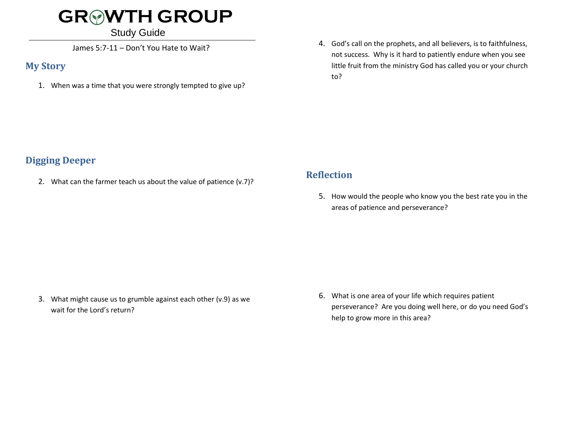# **GR WTH GROUP**

#### Study Guide

James 5:7-11 – Don't You Hate to Wait?

#### **My Story**

1. When was a time that you were strongly tempted to give up?

4. God's call on the prophets, and all believers, is to faithfulness, not success. Why is it hard to patiently endure when you see little fruit from the ministry God has called you or your church to?

## **Digging Deeper**

2. What can the farmer teach us about the value of patience (v.7)?

### **Reflection**

5. How would the people who know you the best rate you in the areas of patience and perseverance?

3. What might cause us to grumble against each other (v.9) as we wait for the Lord's return?

6. What is one area of your life which requires patient perseverance? Are you doing well here, or do you need God's help to grow more in this area?